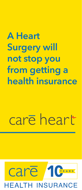## **A Heart Surgery will not stop you from getting a health insurance**

# care heart

### care YEARS **EALTH INSURANCE**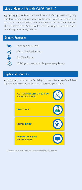#### Live a Hearty life with Care heart

 $car\bar{e}$  heart reflects our commitment of offering access to Quality Healthcare to individuals who have been suffering from pre-existing cardiac ailments/disorders and undergone a cardiac surgery/procedures for the same. And we're here for the long run, so rest assured of lifelong renewability with us.

#### Salient Features



Life-long Renewability

Cardiac Health check-up

No Claim Bonus

Only 2 years wait period for pre-existing ailments

#### Optional Benefits

 $car\overline{e}$  heart provides the flexibility to choose from any of the following benefits according to the plan suitable for your needs.



*\*Optional Cover is available on payment of additional premium.*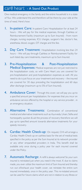#### care heart - A Stand Out Product

One medical emergency in the family and the entire household is in a state of flux. We understand this and therefore will be there by your side at the time of need. Here's how:

- 1. In-patient Care: In-patient Care: Hospitalization for at least 24 hours - We will pay for the medical expenses, through Cashless or Reimbursement Facility (maximum up to Sum Insured) - from room charges, nursing expenses, ICU charges, surgeon's fee, doctor's fee, anesthesia, blood, oxygen, OT charges and the like.
- 2. Day Care Treatment: Hospitalization involving less than 24 hours – We will pay through Cashless or Reimbursement Facility for such listed day care treatments, maximum up to Sum Insured.
- 3. Pre-Hospitalization & Post-Hospitalization Medical Expenses: Medical expenses are not just restricted to the hospitalization costs, so with Care Heart you are covered for pre-hospitalization and post-hospitalization expenses as well. All you need to do is just focus on your treatment and recovery – the insured are covered for 30 days preceding the hospitalization and 60 days after discharge (maximum up to 5% of Sum Insured).
- 4. Ambulance Cover: Through this cover, we will pay you up-to a specified amount per hospitalization, for expenses that you incur on ambulance service offered by the hospital or any service provider, in an emergency situation.
- 5. Alternative Treatments: Combination of conventional medical and alternative treatments such as Ayurveda, Unani, Sidha and homeopathy quicken & aid the process of recovery therefore we will pay up-to specified amount towards alternative treatments for your speedy recovery.
- **6.** Cardiac Health Check-up: On request, CHI will arrange a Cardiac Health Check-up on cashless basis for the set of medical tests specified in the policy as per the Sum Insured at its network provider or any other empanelled providers in India. This benefit shall be available only once during a policy year for each insured covered under the Policy.
- 7. Automatic Recharge: A refill is always welcome! So your sum insured is reinstated just when you need it the most. If, due to claims made, you ever utilize the maximum limit of Sum Insured and thereby run out of/exhaust your health cover, we reinstate the entire sum insured immediately, once in the policy year. This re-instated amount can be used for future claims which are not in relation to any Illness or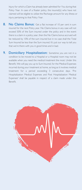Injury for which a Claim has already been admitted for You during that Policy Year. In case of a floater policy, the insured(s) who have not claimed will be eligible to utilize the Recharge amount for any illness or injury pertaining to that Policy Year.

- 8. No Claims Bonus: Get a flat increase of 10 per cent in sum insured for the next Policy year. No Claims bonus in any case will not exceed 50% of the Sum insured under the policy and in the event there is a claim in a policy year, then the No Claims bonus accrued will be reduced by 10% of the sum insured but in no case shall the Total Sum Insured be less than the Sum insured. It's just our way to tell you that we're there with you in good times and in bad.
- 9. Domiciliary Hospitalization: Sometime you are not in a condition to be moved to a Hospital or a Hospital room may not be available when you need the medical treatment the most. Under this Benefit, We will pay you up to Sum Insured, for the Medical Expenses incurred during your treatment at home, as long as it involves medical treatment for a period exceeding 3 consecutive days. 'Pre Hospitalization Medical Expenses and Post Hospitalization Medical Expenses' shall be payable in respect of a claim made under this Benefit.

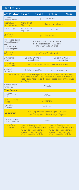#### Plan Details:

| SUM INSURED <sup>*</sup> ₹ 3 Lakh                                                                 |                                                                                                                                                                                                            | ₹ 5 Lakh                     | そ7 Lakh                                                | ₹ 10 Lakh                                                                                   |  |
|---------------------------------------------------------------------------------------------------|------------------------------------------------------------------------------------------------------------------------------------------------------------------------------------------------------------|------------------------------|--------------------------------------------------------|---------------------------------------------------------------------------------------------|--|
| In-Patient<br>Hospitalization                                                                     | Up to Sum Insured                                                                                                                                                                                          |                              |                                                        |                                                                                             |  |
| Room Rent /<br><b>Room Category</b>                                                               | Up to 1% of<br>SI per day                                                                                                                                                                                  | <b>Single Private Room</b>   |                                                        |                                                                                             |  |
| <b>ICU Charges</b>                                                                                | Up to 2% of<br>SI per day                                                                                                                                                                                  | No I imit                    |                                                        |                                                                                             |  |
| Day Care<br>Treatment                                                                             | Up to Sum Insured                                                                                                                                                                                          |                              |                                                        |                                                                                             |  |
| Pre Hospitalization<br>Medical Expenses<br>and Post<br>Hospitalization<br><b>Medical Expenses</b> | Pre-Hospitalization for 30 days &<br>Post-Hospitalization for 60 days;<br>Maximum up to 5% of SI                                                                                                           |                              |                                                        |                                                                                             |  |
| Alternative<br>Treatments                                                                         | Up to 25% of Sum Insured                                                                                                                                                                                   |                              |                                                        |                                                                                             |  |
| Ambulance<br>Cover                                                                                | Up to Rs 2,000 per<br>Hospitalization                                                                                                                                                                      |                              | Up to Rs 3,000 per<br>Hospitalization                  |                                                                                             |  |
| Domiciliary<br>Hospitalization                                                                    | Up to 100% of Sum Insured covered after 3 days                                                                                                                                                             |                              |                                                        |                                                                                             |  |
| Automatic<br>Recharge                                                                             | 100% of original Sum Insured upon exhaustion of SI                                                                                                                                                         |                              |                                                        |                                                                                             |  |
| No Claims Bonus                                                                                   | 10% increase in SI per Policy Year in case of claim-free year;<br>Max up to 50% of SI (10% decrease in SI per Policy Year in<br>case a claim has been paid; Such decrease is only in SI accrued<br>as NCB) |                              |                                                        |                                                                                             |  |
| Cardiac Health<br>Check-up                                                                        | Annually                                                                                                                                                                                                   |                              |                                                        |                                                                                             |  |
| <b>Wait Periods</b>                                                                               |                                                                                                                                                                                                            |                              |                                                        |                                                                                             |  |
| Initial Waiting<br>Period                                                                         | 30 Days                                                                                                                                                                                                    |                              |                                                        |                                                                                             |  |
| <b>Specific Waiting</b><br>Period                                                                 | <b>24 Months</b>                                                                                                                                                                                           |                              |                                                        |                                                                                             |  |
| Pre-existing<br><b>Diseases</b>                                                                   | 24 Months                                                                                                                                                                                                  |                              |                                                        |                                                                                             |  |
| Co-payment                                                                                        | 20% Co-payment if the entry age <= 70 years<br>30% Co-payment if the entry age>70 years                                                                                                                    |                              |                                                        |                                                                                             |  |
| Pre-policy Issuance<br>Medical Check up                                                           | <b>None</b>                                                                                                                                                                                                |                              |                                                        |                                                                                             |  |
| <b>Home Care</b><br>(Optional Cover)                                                              | Up to Rs. 1,000 per day; Max.<br>45 days per policy year per<br>Insured Person; Covered<br>after a deductible of I day                                                                                     | 7 days per occurrence & Max. | Insured Person; Covered<br>after a deductible of I day | Up to Rs.2,000 per day; Max.<br>7 days per occurrence & Max.<br>45 days per policy year per |  |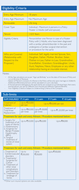#### Eligibility Criteria

| <b>Entry Age Minimum</b>                                             | 18 years                                                                                                                                                                                                                                                                               |  |  |
|----------------------------------------------------------------------|----------------------------------------------------------------------------------------------------------------------------------------------------------------------------------------------------------------------------------------------------------------------------------------|--|--|
| Entry Age Maximum                                                    | No Maximum Age                                                                                                                                                                                                                                                                         |  |  |
| Renewable                                                            | Life long                                                                                                                                                                                                                                                                              |  |  |
| Cover Type                                                           | Individual: Maximum 6 persons in a Policy<br>Floater: 2 Adults (self and spouse)                                                                                                                                                                                                       |  |  |
| Tenure                                                               | $1/2/3$ Years                                                                                                                                                                                                                                                                          |  |  |
| Eligibility Criteria                                                 | Person/either one Person in case of a Floater<br>Policy with 2 Adults, who have been diagnosed<br>with a cardiac ailment/disorder in the past and<br>undergone a Cardiac surgical intervention<br>or procedure for the same                                                            |  |  |
| Who are Covered<br>(Relationship with<br>Respect to the<br>Proposer) | Individual: Self, legally married Spouse, Son,<br>Daughter, Father, Mother, Brother, Sister,<br>Mother-in-Law, Father-in-Law, Grandmother,<br>Grandfather, Grandson, Granddaughter, Uncle,<br>Aunt, Nephew, Niece, Employee or any other<br>relationship having an insurable interest. |  |  |

#### Notes:

All the Age calculations are as per "Age Last Birthday" as on the date of first issue of Policy and / or at the time of Renewal.

Option of Mid-term inclusion of a Person in the Policy will be only upon marriage or childbirth;<br>Additional differential premium will be calculated on a pro rata basis.

- If Insured persons belonging to the same family are covered on an Individual basis, then every<br>Insured person can opt for different Sum Insured and different Optional Benefits.<br>- Your Eligibility Criteria is Subject to U

|  | Sub-limits |
|--|------------|
|  |            |

| SUM INSURED <sup>**</sup> ₹ 3 Lakh                                                                                                                                                                               |                             | そ5 Lakh                                   | そ7 Lakh                  | ₹ 10 Lakh     |  |  |  |
|------------------------------------------------------------------------------------------------------------------------------------------------------------------------------------------------------------------|-----------------------------|-------------------------------------------|--------------------------|---------------|--|--|--|
| Treatment of<br>Cataract                                                                                                                                                                                         | Up to ₹20,000<br>per eye    | $Up$ to ₹30,000 per eye                   |                          |               |  |  |  |
| Treatment of<br><b>Total Knee</b><br>Replacement                                                                                                                                                                 | per knee                    | Up to ₹80,000 Up to ₹1,00,000<br>per knee | Up to ₹1,20,000 per knee |               |  |  |  |
| Treatment for each and every Ailment / Procedure mentioned below:-                                                                                                                                               |                             |                                           |                          |               |  |  |  |
| i. Surgery for<br>treatment of all<br>types of Hernia<br>ii. Hysterectomy<br>iii. Surgeries for<br>Benign Prostate<br>Hypertrophy<br>(BPH)<br>iv. Surgical<br>treatment of<br>stones of renal<br>system          | Up to ₹50,000 Up to ₹65,000 |                                           |                          | Up to ₹80,000 |  |  |  |
| Treatment for each and every Ailment / Procedure mentioned below:-                                                                                                                                               |                             |                                           |                          |               |  |  |  |
| i. Treatment of<br>Cerebrovascular<br>disorders<br>ii. Treatments/<br>Surgeries for<br>Cancer<br>iii. Treatment of<br>other renal<br>complications<br>and Disorders<br>iv. Treatment for<br>breakage of<br>bones | Up to<br>₹200,000           | Upto<br>₹250,000                          | Up to ₹300,000           |               |  |  |  |

*\*\*Other sum insured options are also available.*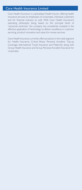#### Care Health Insurance Limited

Care Health Insurance is a specialized Health Insurer offering health insurance services to employees of corporates, individual customers and for financial inclusion as well. With Care Health Insurance's operating philosophy being based on the principal tenet of 'consumer-centricity', the company has consistently invested in the effective application of technology to deliver excellence in customer servicing, product innovation and value-for-money services.

Care Health Insurance currently offers products in the retail segment for Health Insurance, Critical Illness, Personal Accident, Top-up Coverage, International Travel Insurance and Maternity along with Group Health Insurance and Group Personal Accident Insurance for corporates.